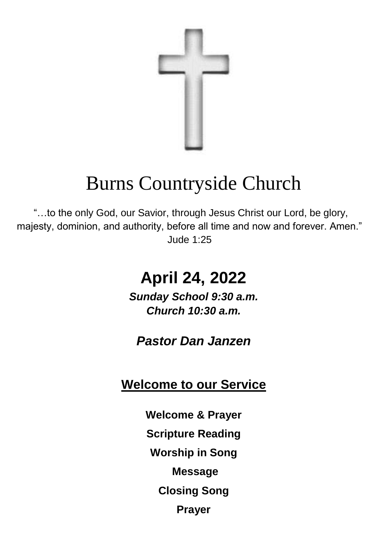

# Burns Countryside Church

"…to the only God, our Savior, through Jesus Christ our Lord, be glory, majesty, dominion, and authority, before all time and now and forever. Amen." Jude 1:25

# **April 24, 2022**

*Sunday School 9:30 a.m. Church 10:30 a.m.*

*Pastor Dan Janzen*

# **Welcome to our Service**

**Welcome & Prayer Scripture Reading Worship in Song Message Closing Song Prayer**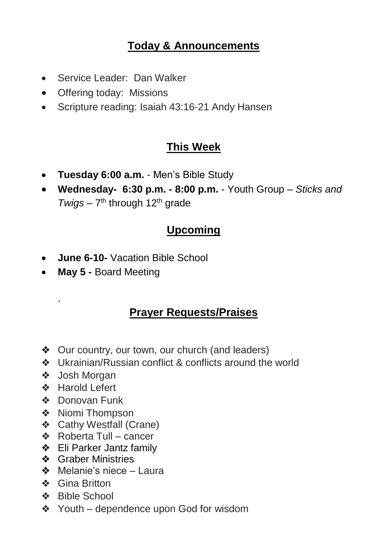#### **Today & Announcements**

- Service Leader: Dan Walker
- Offering today: Missions
- Scripture reading: Isaiah 43:16-21 Andy Hansen

#### **This Week**

- **Tuesday 6:00 a.m.**  Men's Bible Study
- **Wednesday- 6:30 p.m. - 8:00 p.m.**  Youth Group *Sticks and*  Twigs – 7<sup>th</sup> through 12<sup>th</sup> grade

### **Upcoming**

- **June 6-10-** Vacation Bible School
- **May 5 -** Board Meeting

#### **Prayer Requests/Praises**

- ❖ Our country, our town, our church (and leaders)
- ❖ Ukrainian/Russian conflict & conflicts around the world
- ❖ Josh Morgan

.

- ❖ Harold Lefert
- ❖ Donovan Funk
- ❖ Niomi Thompson
- ❖ Cathy Westfall (Crane)
- ❖ Roberta Tull cancer
- ❖ Eli Parker Jantz family
- ❖ Graber Ministries
- ❖ Melanie's niece Laura
- ❖ Gina Britton
- ❖ Bible School
- ❖ Youth dependence upon God for wisdom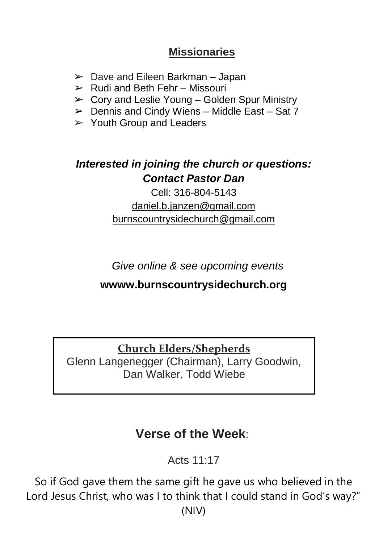#### **Missionaries**

- $\geq$  Dave and Eileen Barkman Japan
- $\triangleright$  Rudi and Beth Fehr Missouri
- $\triangleright$  Cory and Leslie Young Golden Spur Ministry
- $\triangleright$  Dennis and Cindy Wiens Middle East Sat 7
- $\triangleright$  Youth Group and Leaders

### *Interested in joining the church or questions: Contact Pastor Dan*

Cell: 316-804-5143 [daniel.b.janzen@gmail.com](mailto:daniel.b.janzen@gmail.com) burnscountrysidechurch@gmail.com

*Give online & see upcoming events*

#### **wwww.burnscountrysidechurch.org**

**Church Elders/Shepherds**

Glenn Langenegger (Chairman), Larry Goodwin, Dan Walker, Todd Wiebe

# **Verse of the Week**:

Acts 11:17

So if God gave them the same gift he gave us who believed in the Lord Jesus Christ, who was I to think that I could stand in God's way?" (NIV)